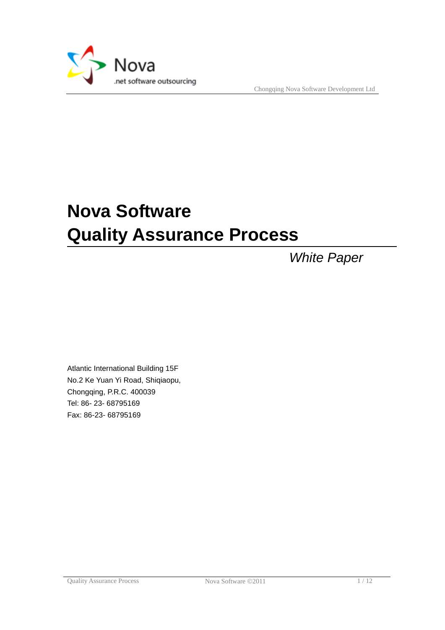

Chongqing Nova Software Development Ltd

# **Nova Software Quality Assurance Process**

*White Paper*

Atlantic International Building 15F No.2 Ke Yuan Yi Road, Shiqiaopu, Chongqing, P.R.C. 400039 Tel: 86- 23- 68795169 Fax: 86-23- 68795169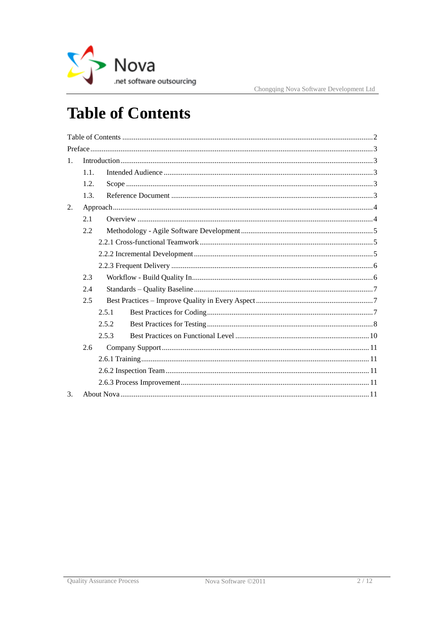

# <span id="page-1-0"></span>**Table of Contents**

| 1 <sub>1</sub> |      |       |  |  |  |
|----------------|------|-------|--|--|--|
|                | 1.1. |       |  |  |  |
|                | 1.2. |       |  |  |  |
|                | 1.3. |       |  |  |  |
| 2.             |      |       |  |  |  |
|                | 2.1  |       |  |  |  |
|                | 2.2  |       |  |  |  |
|                |      |       |  |  |  |
|                |      |       |  |  |  |
|                |      |       |  |  |  |
|                | 2.3  |       |  |  |  |
|                | 2.4  |       |  |  |  |
|                | 2.5  |       |  |  |  |
|                |      | 2.5.1 |  |  |  |
|                |      | 2.5.2 |  |  |  |
|                |      | 2.5.3 |  |  |  |
|                | 2.6  |       |  |  |  |
|                |      |       |  |  |  |
|                |      |       |  |  |  |
|                |      |       |  |  |  |
| $\mathcal{E}$  |      |       |  |  |  |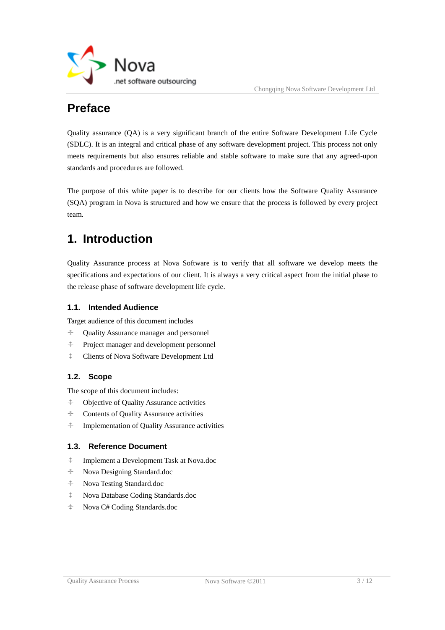

# <span id="page-2-0"></span>**Preface**

Quality assurance (QA) is a very significant branch of the entire Software Development Life Cycle (SDLC). It is an integral and critical phase of any software development project. This process not only meets requirements but also ensures reliable and stable software to make sure that any agreed-upon standards and procedures are followed.

The purpose of this white paper is to describe for our clients how the Software Quality Assurance (SQA) program in Nova is structured and how we ensure that the process is followed by every project team.

# <span id="page-2-1"></span>**1. Introduction**

Quality Assurance process at Nova Software is to verify that all software we develop meets the specifications and expectations of our client. It is always a very critical aspect from the initial phase to the release phase of software development life cycle.

# <span id="page-2-2"></span>**1.1. Intended Audience**

Target audience of this document includes

- Quality Assurance manager and personnel
- Project manager and development personnel
- <span id="page-2-3"></span>Clients of Nova Software Development Ltd

# **1.2. Scope**

The scope of this document includes:

- Objective of Quality Assurance activities
- Contents of Quality Assurance activities
- <span id="page-2-4"></span>Implementation of Quality Assurance activities

# **1.3. Reference Document**

- Implement a Development Task at Nova.doc
- Nova Designing Standard.doc
- Nova Testing Standard.doc
- Nova Database Coding Standards.doc
- Nova C# Coding Standards.doc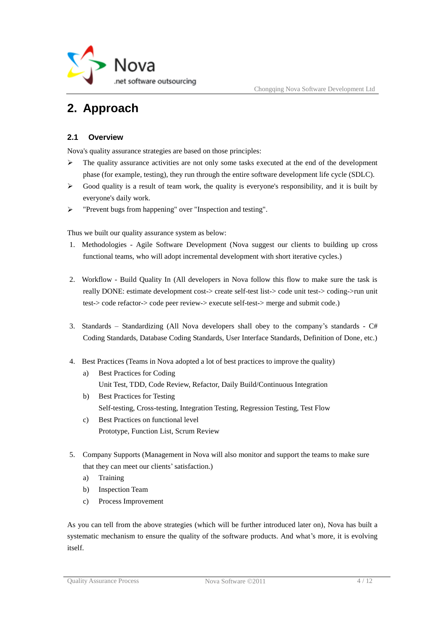

# <span id="page-3-0"></span>**2. Approach**

# <span id="page-3-1"></span>**2.1 Overview**

Nova's quality assurance strategies are based on those principles:

- $\triangleright$  The quality assurance activities are not only some tasks executed at the end of the development phase (for example, testing), they run through the entire software development life cycle (SDLC).
- $\triangleright$  Good quality is a result of team work, the quality is everyone's responsibility, and it is built by everyone's daily work.
- > "Prevent bugs from happening" over "Inspection and testing".

Thus we built our quality assurance system as below:

- 1. Methodologies Agile Software Development (Nova suggest our clients to building up cross functional teams, who will adopt incremental development with short iterative cycles.)
- 2. Workflow Build Quality In (All developers in Nova follow this flow to make sure the task is really DONE: estimate development cost-> create self-test list-> code unit test-> coding->run unit test-> code refactor-> code peer review-> execute self-test-> merge and submit code.)
- 3. Standards Standardizing (All Nova developers shall obey to the company's standards  $C#$ Coding Standards, Database Coding Standards, User Interface Standards, Definition of Done, etc.)
- 4. Best Practices (Teams in Nova adopted a lot of best practices to improve the quality)
	- a) Best Practices for Coding Unit Test, TDD, Code Review, Refactor, Daily Build/Continuous Integration
	- b) Best Practices for Testing Self-testing, Cross-testing, Integration Testing, Regression Testing, Test Flow
	- c) Best Practices on functional level Prototype, Function List, Scrum Review
- 5. Company Supports (Management in Nova will also monitor and support the teams to make sure that they can meet our clients' satisfaction.)
	- a) Training
	- b) Inspection Team
	- c) Process Improvement

As you can tell from the above strategies (which will be further introduced later on), Nova has built a systematic mechanism to ensure the quality of the software products. And what's more, it is evolving itself.

Quality Assurance Process Nova Software © 2011 4/12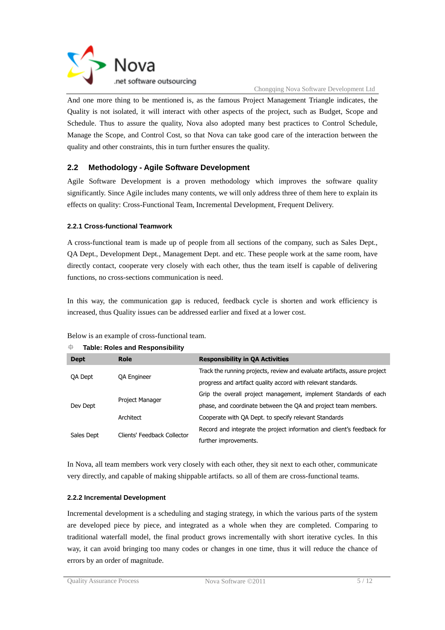

And one more thing to be mentioned is, as the famous Project Management Triangle indicates, the Quality is not isolated, it will interact with other aspects of the project, such as Budget, Scope and Schedule. Thus to assure the quality, Nova also adopted many best practices to Control Schedule, Manage the Scope, and Control Cost, so that Nova can take good care of the interaction between the quality and other constraints, this in turn further ensures the quality.

# <span id="page-4-0"></span>**2.2 Methodology - Agile Software Development**

Agile Software Development is a proven methodology which improves the software quality significantly. Since Agile includes many contents, we will only address three of them here to explain its effects on quality: Cross-Functional Team, Incremental Development, Frequent Delivery.

#### <span id="page-4-1"></span>**2.2.1 Cross-functional Teamwork**

A cross-functional team is made up of people from all sections of the company, such as Sales Dept., QA Dept., Development Dept., Management Dept. and etc. These people work at the same room, have directly contact, cooperate very closely with each other, thus the team itself is capable of delivering functions, no cross-sections communication is need.

In this way, the communication gap is reduced, feedback cycle is shorten and work efficiency is increased, thus Quality issues can be addressed earlier and fixed at a lower cost.

| ⊕<br><b>Table: Roles and Responsibility</b> |                             |                                                                           |  |  |  |
|---------------------------------------------|-----------------------------|---------------------------------------------------------------------------|--|--|--|
| <b>Dept</b>                                 | Role                        | <b>Responsibility in QA Activities</b>                                    |  |  |  |
|                                             | <b>QA Engineer</b>          | Track the running projects, review and evaluate artifacts, assure project |  |  |  |
| QA Dept                                     |                             | progress and artifact quality accord with relevant standards.             |  |  |  |
|                                             | Project Manager             | Grip the overall project management, implement Standards of each          |  |  |  |
| Dev Dept                                    |                             | phase, and coordinate between the QA and project team members.            |  |  |  |
|                                             | Architect                   | Cooperate with QA Dept. to specify relevant Standards                     |  |  |  |
|                                             | Clients' Feedback Collector | Record and integrate the project information and client's feedback for    |  |  |  |
| Sales Dept                                  |                             | further improvements.                                                     |  |  |  |

#### Below is an example of cross-functional team.

In Nova, all team members work very closely with each other, they sit next to each other, communicate very directly, and capable of making shippable artifacts. so all of them are cross-functional teams.

#### <span id="page-4-2"></span>**2.2.2 Incremental Development**

Incremental development is a scheduling and staging strategy, in which the various parts of the system are developed piece by piece, and integrated as a whole when they are completed. Comparing to traditional waterfall model, the final product grows incrementally with short iterative cycles. In this way, it can avoid bringing too many codes or changes in one time, thus it will reduce the chance of errors by an order of magnitude.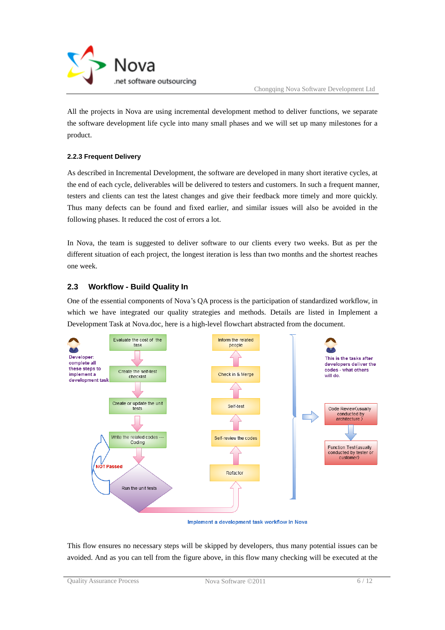

All the projects in Nova are using incremental development method to deliver functions, we separate the software development life cycle into many small phases and we will set up many milestones for a product.

#### <span id="page-5-0"></span>**2.2.3 Frequent Delivery**

As described in Incremental Development, the software are developed in many short iterative cycles, at the end of each cycle, deliverables will be delivered to testers and customers. In such a frequent manner, testers and clients can test the latest changes and give their feedback more timely and more quickly. Thus many defects can be found and fixed earlier, and similar issues will also be avoided in the following phases. It reduced the cost of errors a lot.

In Nova, the team is suggested to deliver software to our clients every two weeks. But as per the different situation of each project, the longest iteration is less than two months and the shortest reaches one week.

# <span id="page-5-1"></span>**2.3 Workflow - Build Quality In**

One of the essential components of Nova"s QA process is the participation of standardized workflow, in which we have integrated our quality strategies and methods. Details are listed in Implement a Development Task at Nova.doc, here is a high-level flowchart abstracted from the document.



Implement a development task workflow in Nova

This flow ensures no necessary steps will be skipped by developers, thus many potential issues can be avoided. And as you can tell from the figure above, in this flow many checking will be executed at the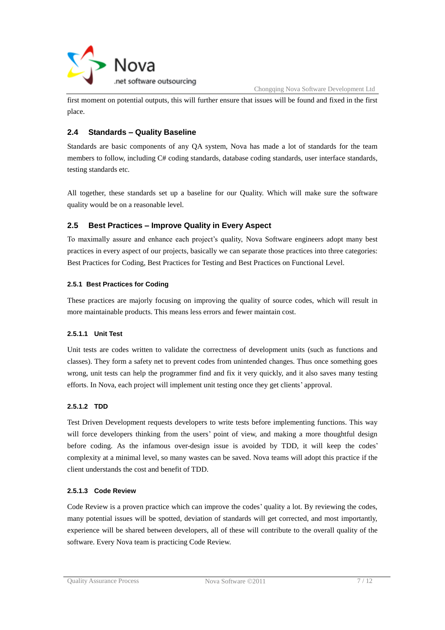

first moment on potential outputs, this will further ensure that issues will be found and fixed in the first place.

# <span id="page-6-0"></span>**2.4 Standards – Quality Baseline**

Standards are basic components of any QA system, Nova has made a lot of standards for the team members to follow, including C# coding standards, database coding standards, user interface standards, testing standards etc.

All together, these standards set up a baseline for our Quality. Which will make sure the software quality would be on a reasonable level.

# <span id="page-6-1"></span>**2.5 Best Practices – Improve Quality in Every Aspect**

To maximally assure and enhance each project's quality, Nova Software engineers adopt many best practices in every aspect of our projects, basically we can separate those practices into three categories: Best Practices for Coding, Best Practices for Testing and Best Practices on Functional Level.

#### <span id="page-6-2"></span>**2.5.1 Best Practices for Coding**

These practices are majorly focusing on improving the quality of source codes, which will result in more maintainable products. This means less errors and fewer maintain cost.

#### **2.5.1.1 Unit Test**

Unit tests are codes written to validate the correctness of development units (such as functions and classes). They form a safety net to prevent codes from unintended changes. Thus once something goes wrong, unit tests can help the programmer find and fix it very quickly, and it also saves many testing efforts. In Nova, each project will implement unit testing once they get clients" approval.

#### **2.5.1.2 TDD**

Test Driven Development requests developers to write tests before implementing functions. This way will force developers thinking from the users' point of view, and making a more thoughtful design before coding. As the infamous over-design issue is avoided by TDD, it will keep the codes' complexity at a minimal level, so many wastes can be saved. Nova teams will adopt this practice if the client understands the cost and benefit of TDD.

#### **2.5.1.3 Code Review**

Code Review is a proven practice which can improve the codes' quality a lot. By reviewing the codes, many potential issues will be spotted, deviation of standards will get corrected, and most importantly, experience will be shared between developers, all of these will contribute to the overall quality of the software. Every Nova team is practicing Code Review.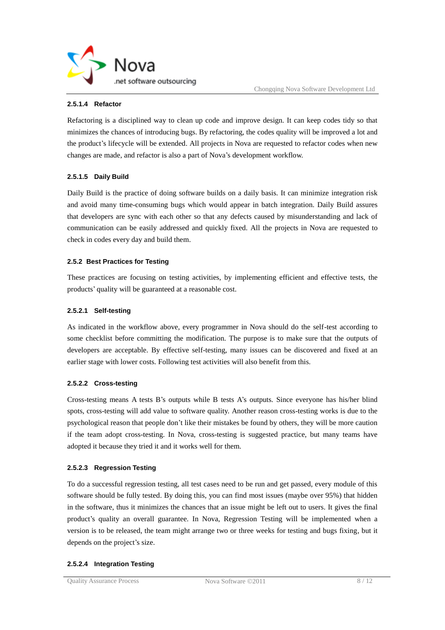

#### **2.5.1.4 Refactor**

Refactoring is a disciplined way to clean up code and improve design. It can keep codes tidy so that minimizes the chances of introducing bugs. By refactoring, the codes quality will be improved a lot and the product's lifecycle will be extended. All projects in Nova are requested to refactor codes when new changes are made, and refactor is also a part of Nova"s development workflow.

#### **2.5.1.5 Daily Build**

Daily Build is the practice of doing software builds on a daily basis. It can minimize integration risk and avoid many time-consuming bugs which would appear in batch integration. Daily Build assures that developers are sync with each other so that any defects caused by misunderstanding and lack of communication can be easily addressed and quickly fixed. All the projects in Nova are requested to check in codes every day and build them.

#### <span id="page-7-0"></span>**2.5.2 Best Practices for Testing**

These practices are focusing on testing activities, by implementing efficient and effective tests, the products" quality will be guaranteed at a reasonable cost.

#### **2.5.2.1 Self-testing**

As indicated in the workflow above, every programmer in Nova should do the self-test according to some checklist before committing the modification. The purpose is to make sure that the outputs of developers are acceptable. By effective self-testing, many issues can be discovered and fixed at an earlier stage with lower costs. Following test activities will also benefit from this.

#### **2.5.2.2 Cross-testing**

Cross-testing means A tests B"s outputs while B tests A"s outputs. Since everyone has his/her blind spots, cross-testing will add value to software quality. Another reason cross-testing works is due to the psychological reason that people don"t like their mistakes be found by others, they will be more caution if the team adopt cross-testing. In Nova, cross-testing is suggested practice, but many teams have adopted it because they tried it and it works well for them.

#### **2.5.2.3 Regression Testing**

To do a successful regression testing, all test cases need to be run and get passed, every module of this software should be fully tested. By doing this, you can find most issues (maybe over 95%) that hidden in the software, thus it minimizes the chances that an issue might be left out to users. It gives the final product"s quality an overall guarantee. In Nova, Regression Testing will be implemented when a version is to be released, the team might arrange two or three weeks for testing and bugs fixing, but it depends on the project's size.

#### **2.5.2.4 Integration Testing**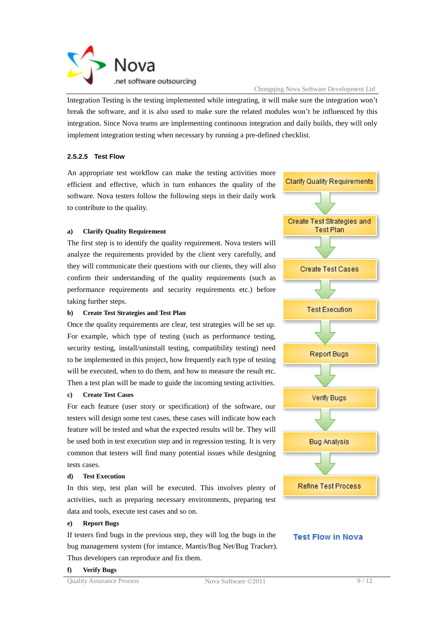

Integration Testing is the testing implemented while integrating, it will make sure the integration won"t break the software, and it is also used to make sure the related modules won"t be influenced by this integration. Since Nova teams are implementing continuous integration and daily builds, they will only implement integration testing when necessary by running a pre-defined checklist.

#### **2.5.2.5 Test Flow**

An appropriate test workflow can make the testing activities more efficient and effective, which in turn enhances the quality of the software. Nova testers follow the following steps in their daily work to contribute to the quality.

#### **a) Clarify Quality Requirement**

The first step is to identify the quality requirement. Nova testers will analyze the requirements provided by the client very carefully, and they will communicate their questions with our clients, they will also confirm their understanding of the quality requirements (such as performance requirements and security requirements etc.) before taking further steps.

#### **b) Create Test Strategies and Test Plan**

Once the quality requirements are clear, test strategies will be set up. For example, which type of testing (such as performance testing, security testing, install/uninstall testing, compatibility testing) need to be implemented in this project, how frequently each type of testing will be executed, when to do them, and how to measure the result etc. Then a test plan will be made to guide the incoming testing activities.

#### **c) Create Test Cases**

For each feature (user story or specification) of the software, our testers will design some test cases, these cases will indicate how each feature will be tested and what the expected results will be. They will be used both in test execution step and in regression testing. It is very common that testers will find many potential issues while designing tests cases.

#### **d) Test Execution**

In this step, test plan will be executed. This involves plenty of activities, such as preparing necessary environments, preparing test data and tools, execute test cases and so on.

#### **e) Report Bugs**

If testers find bugs in the previous step, they will log the bugs in the bug management system (for instance, Mantis/Bug Net/Bug Tracker). Thus developers can reproduce and fix them.





### **Test Flow in Nova**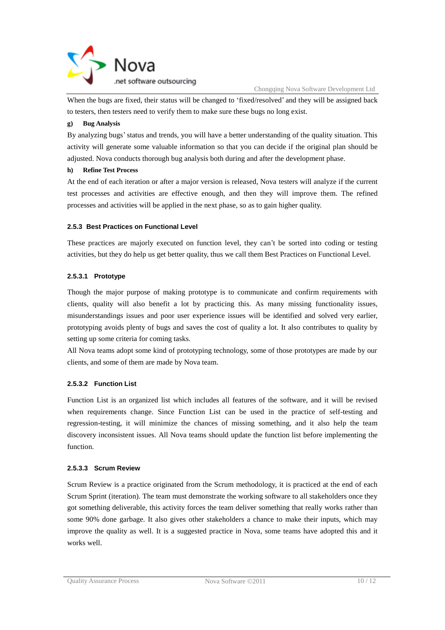

Chongqing Nova Software Development Ltd

When the bugs are fixed, their status will be changed to "fixed/resolved" and they will be assigned back to testers, then testers need to verify them to make sure these bugs no long exist.

#### **g) Bug Analysis**

By analyzing bugs" status and trends, you will have a better understanding of the quality situation. This activity will generate some valuable information so that you can decide if the original plan should be adjusted. Nova conducts thorough bug analysis both during and after the development phase.

#### **h) Refine Test Process**

At the end of each iteration or after a major version is released, Nova testers will analyze if the current test processes and activities are effective enough, and then they will improve them. The refined processes and activities will be applied in the next phase, so as to gain higher quality.

#### <span id="page-9-0"></span>**2.5.3 Best Practices on Functional Level**

These practices are majorly executed on function level, they can"t be sorted into coding or testing activities, but they do help us get better quality, thus we call them Best Practices on Functional Level.

#### **2.5.3.1 Prototype**

Though the major purpose of making prototype is to communicate and confirm requirements with clients, quality will also benefit a lot by practicing this. As many missing functionality issues, misunderstandings issues and poor user experience issues will be identified and solved very earlier, prototyping avoids plenty of bugs and saves the cost of quality a lot. It also contributes to quality by setting up some criteria for coming tasks.

All Nova teams adopt some kind of prototyping technology, some of those prototypes are made by our clients, and some of them are made by Nova team.

#### **2.5.3.2 Function List**

Function List is an organized list which includes all features of the software, and it will be revised when requirements change. Since Function List can be used in the practice of self-testing and regression-testing, it will minimize the chances of missing something, and it also help the team discovery inconsistent issues. All Nova teams should update the function list before implementing the function.

#### **2.5.3.3 Scrum Review**

Scrum Review is a practice originated from the Scrum methodology, it is practiced at the end of each Scrum Sprint (iteration). The team must demonstrate the working software to all stakeholders once they got something deliverable, this activity forces the team deliver something that really works rather than some 90% done garbage. It also gives other stakeholders a chance to make their inputs, which may improve the quality as well. It is a suggested practice in Nova, some teams have adopted this and it works well.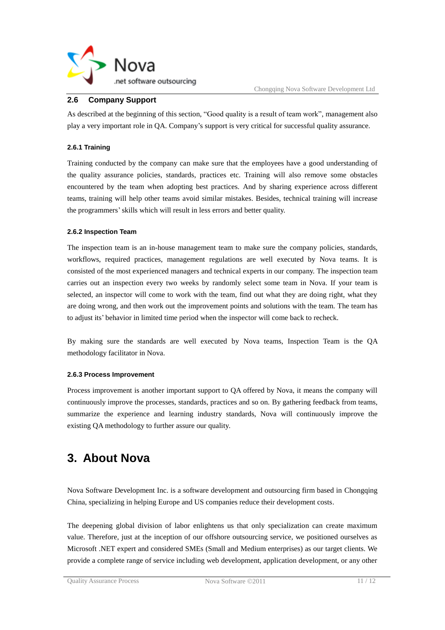

### **2.6 Company Support**

<span id="page-10-0"></span>As described at the beginning of this section, "Good quality is a result of team work", management also play a very important role in QA. Company"s support is very critical for successful quality assurance.

#### <span id="page-10-1"></span>**2.6.1 Training**

Training conducted by the company can make sure that the employees have a good understanding of the quality assurance policies, standards, practices etc. Training will also remove some obstacles encountered by the team when adopting best practices. And by sharing experience across different teams, training will help other teams avoid similar mistakes. Besides, technical training will increase the programmers"skills which will result in less errors and better quality.

#### <span id="page-10-2"></span>**2.6.2 Inspection Team**

The inspection team is an in-house management team to make sure the company policies, standards, workflows, required practices, management regulations are well executed by Nova teams. It is consisted of the most experienced managers and technical experts in our company. The inspection team carries out an inspection every two weeks by randomly select some team in Nova. If your team is selected, an inspector will come to work with the team, find out what they are doing right, what they are doing wrong, and then work out the improvement points and solutions with the team. The team has to adjust its' behavior in limited time period when the inspector will come back to recheck.

By making sure the standards are well executed by Nova teams, Inspection Team is the QA methodology facilitator in Nova.

#### <span id="page-10-3"></span>**2.6.3 Process Improvement**

Process improvement is another important support to QA offered by Nova, it means the company will continuously improve the processes, standards, practices and so on. By gathering feedback from teams, summarize the experience and learning industry standards, Nova will continuously improve the existing QA methodology to further assure our quality.

# <span id="page-10-4"></span>**3. About Nova**

Nova Software Development Inc. is a software development and outsourcing firm based in Chongqing China, specializing in helping Europe and US companies reduce their development costs.

The deepening global division of labor enlightens us that only specialization can create maximum value. Therefore, just at the inception of our offshore outsourcing service, we positioned ourselves as Microsoft .NET expert and considered SMEs (Small and Medium enterprises) as our target clients. We provide a complete range of service including web development, application development, or any other